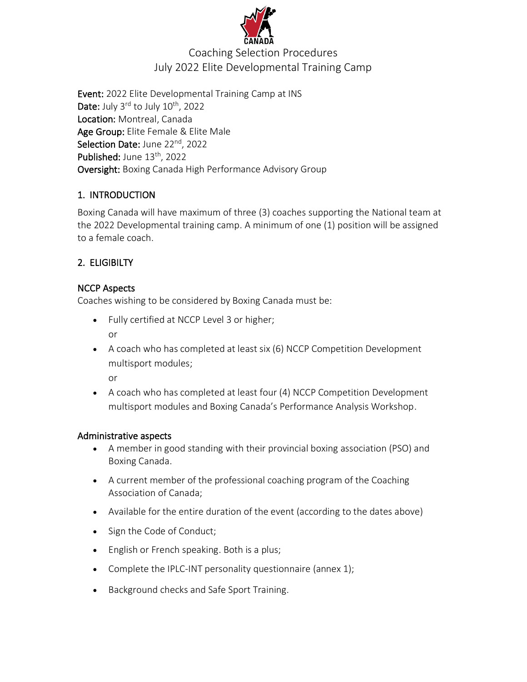

# Coaching Selection Procedures July 2022 Elite Developmental Training Camp

Event: 2022 Elite Developmental Training Camp at INS Date: July 3<sup>rd</sup> to July 10<sup>th</sup>, 2022 Location: Montreal, Canada Age Group: Elite Female & Elite Male Selection Date: June 22<sup>nd</sup>, 2022 Published: June 13<sup>th</sup>, 2022 Oversight: Boxing Canada High Performance Advisory Group

## 1. INTRODUCTION

Boxing Canada will have maximum of three (3) coaches supporting the National team at the 2022 Developmental training camp. A minimum of one (1) position will be assigned to a female coach.

## 2. ELIGIBILTY

## NCCP Aspects

Coaches wishing to be considered by Boxing Canada must be:

- Fully certified at NCCP Level 3 or higher; or
- A coach who has completed at least six (6) NCCP Competition Development multisport modules;

or

• A coach who has completed at least four (4) NCCP Competition Development multisport modules and Boxing Canada's Performance Analysis Workshop.

## Administrative aspects

- A member in good standing with their provincial boxing association (PSO) and Boxing Canada.
- A current member of the professional coaching program of the Coaching Association of Canada;
- Available for the entire duration of the event (according to the dates above)
- Sign the Code of Conduct;
- English or French speaking. Both is a plus;
- Complete the IPLC-INT personality questionnaire (annex 1);
- Background checks and Safe Sport Training.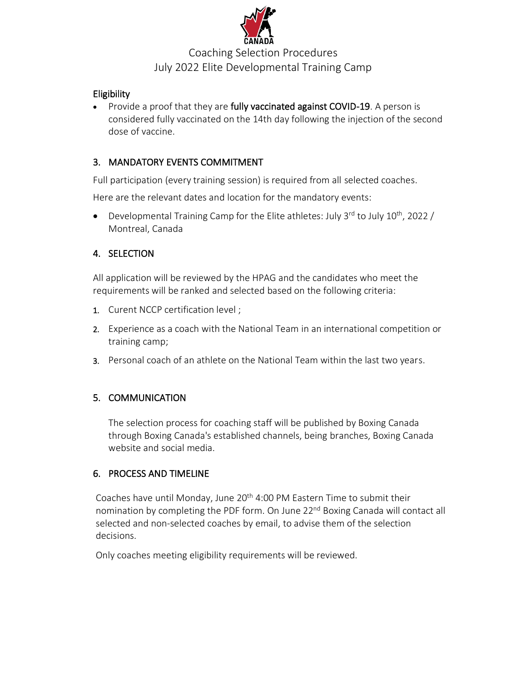

# Coaching Selection Procedures July 2022 Elite Developmental Training Camp

### **Eligibility**

• Provide a proof that they are fully vaccinated against COVID-19. A person is considered fully vaccinated on the 14th day following the injection of the second dose of vaccine.

### 3. MANDATORY EVENTS COMMITMENT

Full participation (every training session) is required from all selected coaches.

Here are the relevant dates and location for the mandatory events:

• Developmental Training Camp for the Elite athletes: July  $3^{rd}$  to July  $10^{th}$ , 2022 / Montreal, Canada

### 4. SELECTION

All application will be reviewed by the HPAG and the candidates who meet the requirements will be ranked and selected based on the following criteria:

- 1. Curent NCCP certification level ;
- 2. Experience as a coach with the National Team in an international competition or training camp;
- 3. Personal coach of an athlete on the National Team within the last two years.

## 5. COMMUNICATION

The selection process for coaching staff will be published by Boxing Canada through Boxing Canada's established channels, being branches, Boxing Canada website and social media.

#### 6. PROCESS AND TIMELINE

Coaches have until Monday, June 20<sup>th</sup> 4:00 PM Eastern Time to submit their nomination by completing the PDF form. On June 22<sup>nd</sup> Boxing Canada will contact all selected and non-selected coaches by email, to advise them of the selection decisions.

Only coaches meeting eligibility requirements will be reviewed.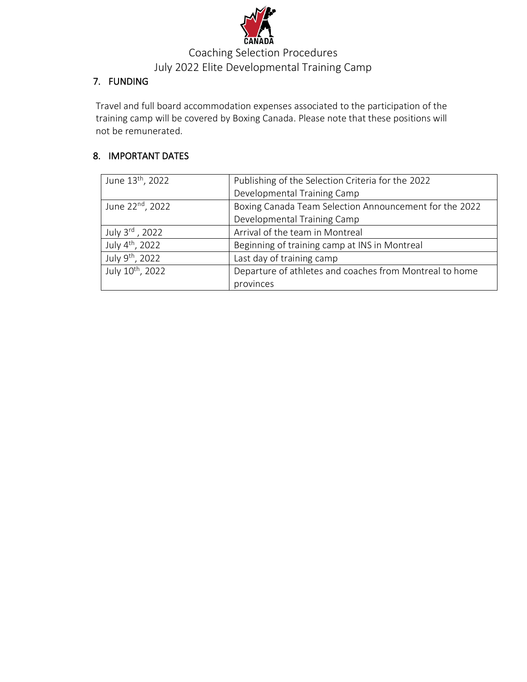

# Coaching Selection Procedures July 2022 Elite Developmental Training Camp

## 7. FUNDING

Travel and full board accommodation expenses associated to the participation of the training camp will be covered by Boxing Canada. Please note that these positions will not be remunerated.

## 8. IMPORTANT DATES

| June 13 <sup>th</sup> , 2022 | Publishing of the Selection Criteria for the 2022       |
|------------------------------|---------------------------------------------------------|
|                              | Developmental Training Camp                             |
| June 22 <sup>nd</sup> , 2022 | Boxing Canada Team Selection Announcement for the 2022  |
|                              | Developmental Training Camp                             |
| July 3rd, 2022               | Arrival of the team in Montreal                         |
| July 4 <sup>th</sup> , 2022  | Beginning of training camp at INS in Montreal           |
| July 9 <sup>th</sup> , 2022  | Last day of training camp                               |
| July 10th, 2022              | Departure of athletes and coaches from Montreal to home |
|                              | provinces                                               |